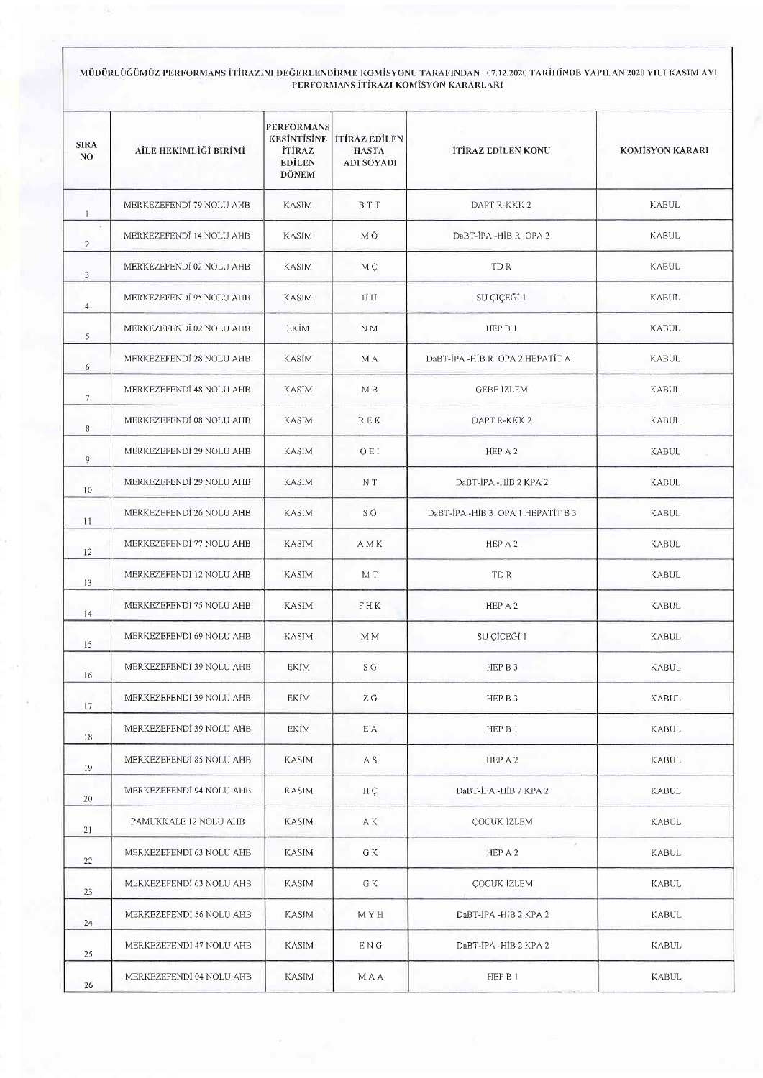## MÜDÜRLÜĞÜMÜZ PERFORMANS İTİRAZINI DEĞERLENDİRME KOMİSYONU TARAFINDAN 07.12.2020 TARİHİNDE YAPILAN 2020 YILI KASIM AYI<br>PERFORMANS İTİRAZI KOMİSYON KARARLARI

| <b>SIRA</b><br>NO. | AİLE HEKİMLİĞİ BİRİMİ    | <b>PERFORMANS</b><br><b>İTİRAZ</b><br><b>EDİLEN</b><br><b>DÖNEM</b> | <b>KESİNTİSİNE TIRAZ EDİLEN</b><br><b>HASTA</b><br><b>ADI SOYADI</b> | <b>İTİRAZ EDİLEN KONU</b>        | <b>KOMÍSYON KARARI</b> |
|--------------------|--------------------------|---------------------------------------------------------------------|----------------------------------------------------------------------|----------------------------------|------------------------|
| $\mathbf{1}$       | MERKEZEFENDI 79 NOLU AHB | <b>KASIM</b>                                                        | <b>BTT</b>                                                           | DAPT R-KKK 2                     | <b>KABUL</b>           |
| s<br>2             | MERKEZEFENDI 14 NOLU AHB | <b>KASIM</b>                                                        | M O                                                                  | DaBT-IPA -HIB R OPA 2            | <b>KABUL</b>           |
| 3                  | MERKEZEFENDI 02 NOLU AHB | <b>KASIM</b>                                                        | M Ç                                                                  | TD R                             | <b>KABUL</b>           |
| $\overline{4}$     | MERKEZEFENDI 95 NOLU AHB | <b>KASIM</b>                                                        | HH                                                                   | SU ÇİÇEĞİ 1                      | <b>KABUL</b>           |
| 5                  | MERKEZEFENDI 02 NOLU AHB | EKİM                                                                | N <sub>M</sub>                                                       | HEP B 1                          | <b>KABUL</b>           |
| 6                  | MERKEZEFENDI 28 NOLU AHB | <b>KASIM</b>                                                        | M A                                                                  | DaBT-JPA-HIB R OPA 2 HEPATIT A I | <b>KABUL</b>           |
| $7\phantom{.0}$    | MERKEZEFENDİ 48 NOLU AHB | <b>KASIM</b>                                                        | M <sub>B</sub>                                                       | <b>GEBE IZLEM</b>                | <b>KABUL</b>           |
| 8                  | MERKEZEFENDI 08 NOLU AHB | <b>KASIM</b>                                                        | R E K                                                                | DAPT R-KKK2                      | KABUL                  |
| 9                  | MERKEZEFENDI 29 NOLU AHB | <b>KASIM</b>                                                        | OEI                                                                  | HEP A 2                          | <b>KABUL</b>           |
| 10                 | MERKEZEFENDİ 29 NOLU AHB | <b>KASIM</b>                                                        | N T                                                                  | DaBT-IPA -HIB 2 KPA 2            | <b>KABUL</b>           |
| 11                 | MERKEZEFENDI 26 NOLU AHB | <b>KASIM</b>                                                        | SÖ                                                                   | DaBT-IPA-HIB 3 OPA 1 HEPATIT B 3 | <b>KABUL</b>           |
| 12                 | MERKEZEFENDI 77 NOLU AHB | <b>KASIM</b>                                                        | A M K                                                                | HEP A 2                          | KABUL                  |
| 13                 | MERKEZEFENDÎ 12 NOLU AHB | <b>KASIM</b>                                                        | M T                                                                  | TD R                             | KABUL                  |
| 14                 | MERKEZEFENDI 75 NOLU AHB | KASIM                                                               | FHK                                                                  | HEP A 2                          | <b>KABUL</b>           |
| 15                 | MERKEZEFENDI 69 NOLU AHB | KASIM                                                               | M M                                                                  | SU ÇİÇEGİ 1                      | KABUL                  |
| 16                 | MERKEZEFENDĪ 39 NOLU AHB | <b>EKIM</b>                                                         | S G                                                                  | HEP B 3                          | KABUL                  |
| 17                 | MERKEZEFENDI 39 NOLU AHB | <b>EKIM</b>                                                         | ΖG                                                                   | HEP B 3                          | KABUL                  |
| 18                 | MERKEZEFENDÍ 39 NOLU AHB | EKİM                                                                | E A                                                                  | HEP B 1                          | KABUL                  |
| 19                 | MERKEZEFENDİ 85 NOLU AHB | KASIM                                                               | A S                                                                  | HEP A 2                          | KABUL                  |
| $20\,$             | MERKEZEFENDİ 94 NOLU AHB | KASIM                                                               | HÇ                                                                   | DaBT-IPA -HIB 2 KPA 2            | KABUL                  |
| 21                 | PAMUKKALE 12 NOLU AHB    | KASIM                                                               | AK.                                                                  | <b>ÇOCUK IZLEM</b>               | <b>KABUL</b>           |
| 22                 | MERKEZEFENDI 63 NOLU AHB | KASIM                                                               | G K                                                                  | $\bar{g}$ :<br>HEP A 2           | <b>KABUL</b>           |
| 23                 | MERKEZEFENDI 63 NOLU AHB | <b>KASIM</b>                                                        | G K                                                                  | ÇOCUK İZLEM                      | <b>KABUL</b>           |
| 24                 | MERKEZEFENDI 56 NOLU AHB | <b>KASIM</b>                                                        | M Y H                                                                | DaBT-JPA -HIB 2 KPA 2            | <b>KABUL</b>           |
| 25                 | MERKEZEFENDI 47 NOLU AHB | <b>KASIM</b>                                                        | ENG                                                                  | DaBT-IPA -HIB 2 KPA 2            | KABUL                  |
| 26                 | MERKEZEFENDI 04 NOLU AHB | <b>KASIM</b>                                                        | <b>MAA</b>                                                           | HEP B 1                          | <b>KABUL</b>           |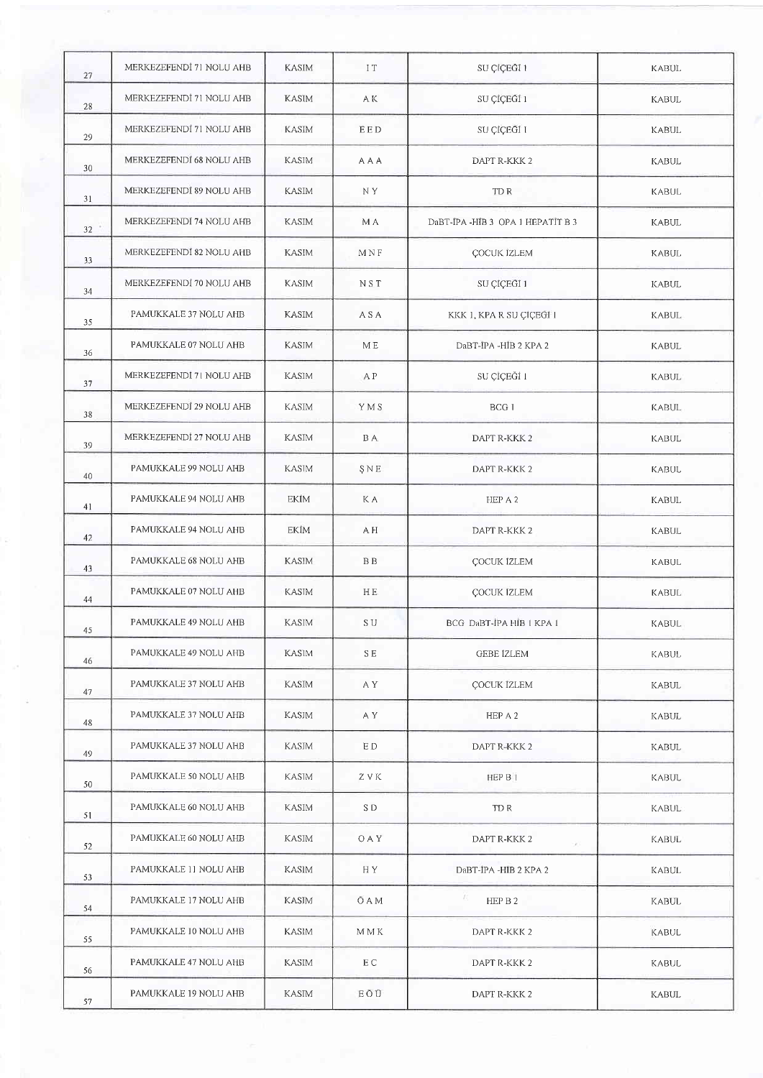| 27 | MERKEZEFENDİ 71 NOLU AHB | <b>KASIM</b> | IT            | SU ÇİÇEĞI 1                      | <b>KABUL</b> |
|----|--------------------------|--------------|---------------|----------------------------------|--------------|
| 28 | MERKEZEFENDÌ 71 NOLU AHB | <b>KASIM</b> | A K           | SU ÇİÇEĞİ 1                      | <b>KABUL</b> |
| 29 | MERKEZEFENDI 71 NOLU AHB | <b>KASIM</b> | EED           | SU ÇİÇEĞİ 1                      | KABUL        |
| 30 | MERKEZEFENDI 68 NOLU AHB | KASIM        | A A A         | DAPT R-KKK 2                     | <b>KABUL</b> |
| 31 | MERKEZEFENDI 89 NOLU AHB | <b>KASIM</b> | N Y           | TD R                             | <b>KABUL</b> |
| 32 | MERKEZEFENDI 74 NOLU AHB | KASIM        | M A           | DaBT-IPA-HIB 3 OPA 1 HEPATIT B 3 | <b>KABUL</b> |
| 33 | MERKEZEFENDI 82 NOLU AHB | <b>KASIM</b> | MNF           | ÇOCUK İZLEM                      | KABUL        |
| 34 | MERKEZEFENDI 70 NOLU AHB | <b>KASIM</b> | NST           | SU ÇIÇEGI 1                      | <b>KABUL</b> |
| 35 | PAMUKKALE 37 NOLU AHB    | <b>KASIM</b> | A S A         | KKK 1, KPA R SU ÇİÇEĞİ 1         | <b>KABUL</b> |
| 36 | PAMUKKALE 07 NOLU AHB    | KASIM        | МE            | DaBT-IPA -HIB 2 KPA 2            | <b>KABUL</b> |
| 37 | MERKEZEFENDI 71 NOLU AHB | KASIM        | A P           | SU ÇİÇEĞİ I                      | <b>KABUL</b> |
| 38 | MERKEZEFENDI 29 NOLU AHB | KASIM        | YMS           | BCG <sub>1</sub>                 | <b>KABUL</b> |
| 39 | MERKEZEFENDİ 27 NOLU AHB | KASIM        | <b>BA</b>     | DAPT R-KKK 2                     | KABUL        |
| 40 | PAMUKKALE 99 NOLU AHB    | <b>KASIM</b> | ŞNE           | DAPT R-KKK 2                     | KABUL        |
| 41 | PAMUKKALE 94 NOLU AHB    | EKIM         | K A           | HEP A 2                          | <b>KABUL</b> |
| 42 | PAMUKKALE 94 NOLU AHB    | EKİM         | A H           | DAPT R-KKK 2                     | <b>KABUL</b> |
| 43 | PAMUKKALE 68 NOLU AHB    | <b>KASIM</b> | <b>BB</b>     | ÇOCUK İZLEM                      | KABUL        |
| 44 | PAMUKKALE 07 NOLU AHB    | <b>KASIM</b> | HE.           | ÇOCUK İZLEM                      | KABUL        |
| 45 | PAMUKKALE 49 NOLU AHB    | KASIM        | $\mathbf S$ U | BCG DaBT-IPA HIB I KPA I         | KABUL        |
| 46 | PAMUKKALE 49 NOLU AHB    | <b>KASIM</b> | S E           | GEBE IZLEM                       | KABUL        |
| 47 | PAMUKKALE 37 NOLU AHB    | <b>KASIM</b> | A Y           | <b>ÇOCUK IZLEM</b>               | KABUL        |
| 48 | PAMUKKALE 37 NOLU AHB    | KASJM        | A Y           | HEP A 2                          | KABUL        |
| 49 | PAMUKKALE 37 NOLU AHB    | <b>KASIM</b> | E D           | DAPT R-KKK 2                     | KABUL        |
| 50 | PAMUKKALE 50 NOLU AHB    | KASIM        | ZVK           | HEP B 1                          | KABUL        |
| 51 | PAMUKKALE 60 NOLU AHB    | KASIM        | S D           | TD R                             | KABUL        |
| 52 | PAMUKKALE 60 NOLU AHB    | KASIM        | <b>OAY</b>    | DAPT R-KKK 2<br>$\mathcal{L}$ .  | <b>KABUL</b> |
| 53 | PAMUKKALE 11 NOLU AHB    | <b>KASIM</b> | H Y           | DaBT-IPA -HIB 2 KPA 2            | KABUL        |
| 54 | PAMUKKALE 17 NOLU AHB    | <b>KASIM</b> | Ō A M         | B<br>HEP B 2                     | KABUL        |
| 55 | PAMUKKALE 10 NOLU AHB    | <b>KASIM</b> | <b>MMK</b>    | DAPT R-KKK 2                     | KABUL        |
| 56 | PAMUKKALE 47 NOLU AHB    | KASIM        | E C           | DAPT R-KKK 2                     | KABUL        |
| 57 | PAMUKKALE 19 NOLU AHB    | KASIM        | EŌŪ           | DAPT R-KKK 2                     | <b>KABUL</b> |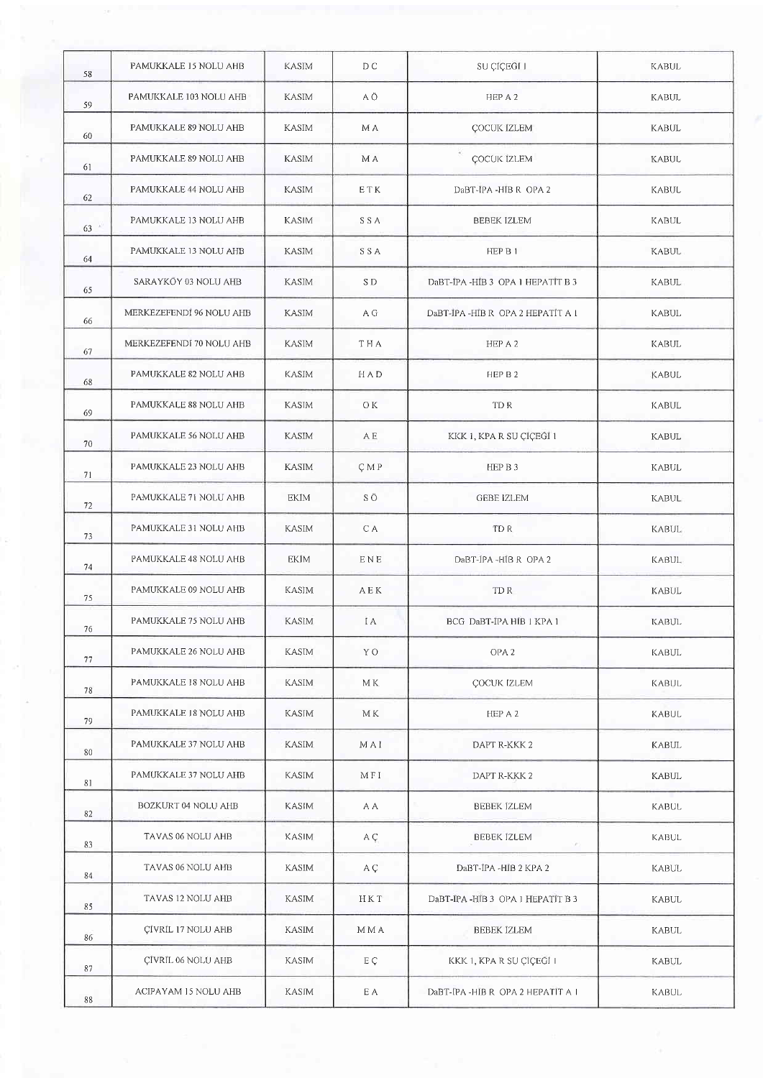| 58 | PAMUKKALE 15 NOLU AHB    | KASIM        | D C        | SU ÇİÇEĞİ I                         | <b>KABUL</b> |
|----|--------------------------|--------------|------------|-------------------------------------|--------------|
| 59 | PAMUKKALE 103 NOLU AHB   | <b>KASIM</b> | ΑÖ         | HEP A 2                             | <b>KABUL</b> |
| 60 | PAMUKKALE 89 NOLU AHB    | KASIM        | M A        | <b>ÇOCUK IZLEM</b>                  | <b>KABUL</b> |
| 61 | PAMUKKALE 89 NOLU AHB    | KASIM        | M A        | ÇOCUK İZLEM                         | <b>KABUL</b> |
| 62 | PAMUKKALE 44 NOLU AHB    | <b>KASIM</b> | E T K      | DaBT-IPA-HIB R OPA 2                | <b>KABUL</b> |
| 63 | PAMUKKALE 13 NOLU AHB    | <b>KASIM</b> | SSA        | <b>BEBEK IZLEM</b>                  | KABUL        |
| 64 | PAMUKKALE 13 NOLU AHB    | KASIM        | <b>SSA</b> | HEP B 1                             | <b>KABUL</b> |
| 65 | SARAYKŌY 03 NOLU AHB     | KASIM        | $\rm S$ D  | DaBT-IPA-HIB 3 OPA 1 HEPATIT B 3    | KABUL        |
| 66 | MERKEZEFENDI 96 NOLU AHB | <b>KASIM</b> | A G        | DaBT-JPA-HIB R OPA 2 HEPATIT A 1    | <b>KABUL</b> |
| 67 | MERKEZEFENDÎ 70 NOLU AHB | <b>KASIM</b> | <b>THA</b> | HEP A 2                             | KABUL        |
| 68 | PAMUKKALE 82 NOLU AHB    | KASIM        | H A D      | HEP B 2                             | <b>KABUL</b> |
| 69 | PAMUKKALE 88 NOLU AHB    | KASIM        | OK.        | TD R                                | KABUL        |
| 70 | PAMUKKALE 56 NOLU AHB    | <b>KASIM</b> | A E        | KKK 1, KPA R SU ÇİÇEĞİ 1            | <b>KABUL</b> |
| 71 | PAMUKKALE 23 NOLU AHB    | <b>KASIM</b> | <b>CMP</b> | HEP B 3                             | KABUL        |
| 72 | PAMUKKALE 71 NOLU AHB    | EKĪM         | SÖ         | <b>GEBE İZLEM</b>                   | KABUL        |
| 73 | PAMUKKALE 31 NOLU AHB    | <b>KASIM</b> | C A        | TD R                                | KABUL        |
| 74 | PAMUKKALE 48 NOLU AHB    | EKIM         | ENE        | DaBT-IPA-HIBR OPA 2                 | <b>KABUL</b> |
| 75 | PAMUKKALE 09 NOLU AHB    | KASIM        | A E K      | TD R                                | <b>KABUL</b> |
| 76 | PAMUKKALE 75 NOLU AHB    | <b>KASIM</b> | I A        | BCG DaBT-IPA HIB 1 KPA 1            | KABUL        |
| 77 | PAMUKKALE 26 NOLU AHB    | KASIM        | Y O        | OPA <sub>2</sub>                    | <b>KABUL</b> |
| 78 | PAMUKKALE 18 NOLU AHB    | <b>KASIM</b> | M K        | <b>COCUK IZLEM</b>                  | KABUL        |
| 79 | PAMUKKALE 18 NOLU AHB    | KASIM        | МK         | HEP A 2                             | KABUL        |
| 80 | PAMUKKALE 37 NOLU AHB    | <b>KASIM</b> | MAI        | DAPT R-KKK 2                        | KABUL        |
| 81 | PAMUKKALE 37 NOLU AHB    | KASIM        | MFI        | DAPT R-KKK 2                        | <b>KABUL</b> |
| 82 | BOZKURT 04 NOLU AHB      | KASIM        | A A        | <b>BEBEK IZLEM</b>                  | KABUL        |
| 83 | TAVAS 06 NOLU AHB        | KASIM        | A Ç        | <b>BEBEK IZLEM</b><br>$\mathcal{F}$ | KABUL        |
| 84 | TAVAS 06 NOLU AHB        | KASIM        | A Ç        | DaBT-IPA -HIB 2 KPA 2               | KABUL        |
| 85 | TAVAS 12 NOLU AHB        | <b>KASIM</b> | HKT        | DaBT-IPA-HIB 3 OPA 1 HEPATIT B 3    | <b>KABUL</b> |
| 86 | ÇİVRİL 17 NOLU AHB       | KASIM        | M M A      | <b>BEBEK İZLEM</b>                  | KABUL        |
| 87 | ÇİVRİL 06 NOLU AHB       | <b>KASIM</b> | EÇ         | KKK 1, KPA R SU ÇİÇEĞİ I            | KABUL        |
| 88 | ACIPAYAM 15 NOLU AHB     | <b>KASIM</b> | E A        | DaBT-IPA-HIB R OPA 2 HEPATIT A 1    | Kabul        |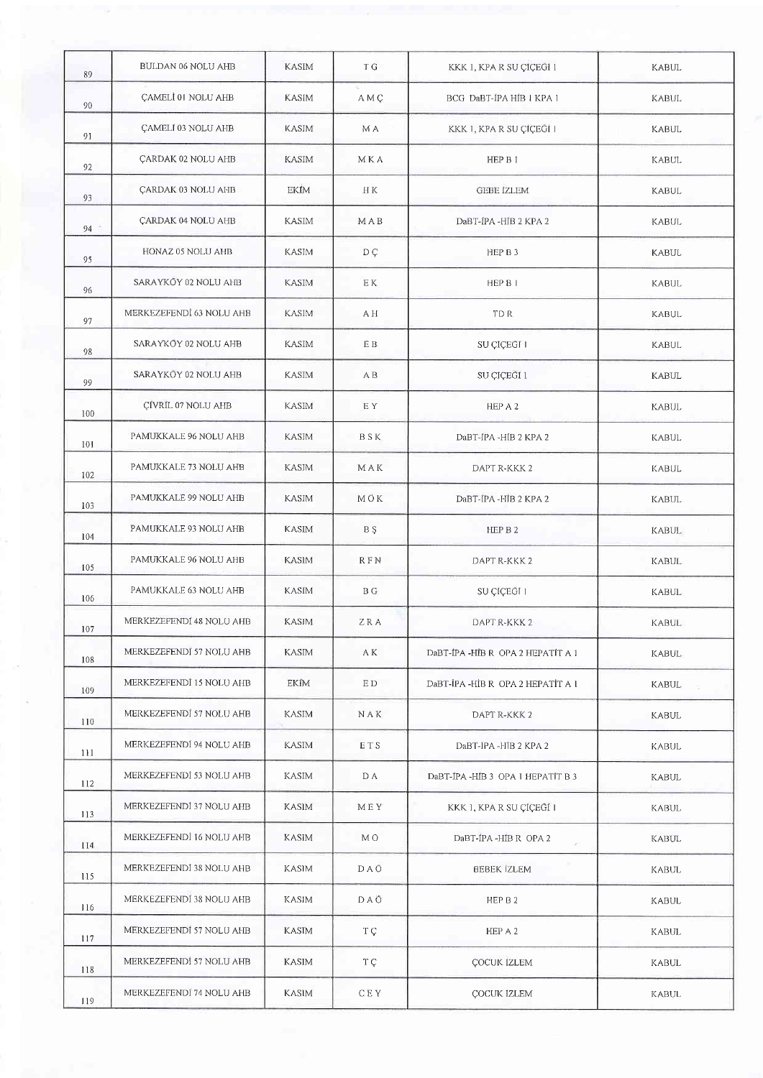| 89  | BULDAN 06 NOLU AHB        | <b>KASIM</b> | T G         | KKK 1, KPA R SU ÇİÇEGİ 1                | KABUL        |
|-----|---------------------------|--------------|-------------|-----------------------------------------|--------------|
| 90  | CAMELI 01 NOLU AHB        | <b>KASIM</b> | A M Ç       | BCG DaBT-IPA HIB I KPA 1                | <b>KABUL</b> |
| 91  | <b>CAMELI 03 NOLU AHB</b> | <b>KASIM</b> | M A         | KKK 1, KPA R SU CICEGI 1                | KABUL        |
| 92  | <b>ÇARDAK 02 NOLU AHB</b> | <b>KASIM</b> | MKA         | HEP B 1                                 | <b>KABUL</b> |
| 93  | ÇARDAK 03 NOLU AHB        | EKİM         | H K         | <b>GEBE IZLEM</b>                       | <b>KABUL</b> |
| 94  | ÇARDAK 04 NOLU AHB        | <b>KASIM</b> | MAB         | DaBT-IPA -HIB 2 KPA 2                   | <b>KABUL</b> |
| 95  | HONAZ 05 NOLU AHB         | <b>KASIM</b> | $D \subset$ | HEP B 3                                 | <b>KABUL</b> |
| 96  | SARAYKÖY 02 NOLU AHB      | <b>KASIM</b> | E K         | HEP B I                                 | <b>KABUL</b> |
| 97  | MERKEZEFENDİ 63 NOLU AHB  | <b>KASIM</b> | A H         | TD R                                    | KABUL        |
| 98  | SARAYKŌY 02 NOLU AHB      | <b>KASIM</b> | E B         | SU CÍCEĞÍ I                             | <b>KABUL</b> |
| 99  | SARAYKÖY 02 NOLU AHB      | <b>KASIM</b> | A B         | SU CICEGI 1                             | <b>KABUL</b> |
| 100 | <b>CİVRİL 07 NOLU AHB</b> | <b>KASIM</b> | E Y         | HEP A 2                                 | <b>KABUL</b> |
| 101 | PAMUKKALE 96 NOLU AHB     | <b>KASIM</b> | <b>BSK</b>  | DaBT-IPA -HIB 2 KPA 2                   | <b>KABUL</b> |
| 102 | PAMUKKALE 73 NOLU AHB     | <b>KASIM</b> | MAK         | DAPT R-KKK 2                            | <b>KABUL</b> |
| 103 | PAMUKKALE 99 NOLU AHB     | <b>KASIM</b> | МÖК         | DaBT-IPA -HIB 2 KPA 2                   | KABUL        |
| 104 | PAMUKKALE 93 NOLU AHB     | <b>KASIM</b> | B Ş         | HEP B 2                                 | <b>KABUL</b> |
| 105 | PAMUKKALE 96 NOLU AHB     | <b>KASIM</b> | <b>RFN</b>  | DAPT R-KKK 2                            | <b>KABUL</b> |
| 106 | PAMUKKALE 63 NOLU AHB     | <b>KASIM</b> | B G         | SU ÇİÇEĞİ I                             | <b>KABUL</b> |
| 107 | MERKEZEFENDI 48 NOLU AHB  | KASIM        | ZRA         | DAPT R-KKK 2                            | KABUL        |
| 108 | MERKEZEFENDI 57 NOLU AHB  | <b>KASIM</b> | A K         | DaBT-IPA-HIB R OPA 2 HEPATIT A 1        | <b>KABUL</b> |
| 109 | MERKEZEFENDİ 15 NOLU AHB  | EKİM         | E D         | DaBT-İPA-HİBR OPA 2 HEPATİT A 1         | <b>KABUL</b> |
| 110 | MERKEZEFENDI 57 NOLU AHB  | KASIM        | NAK         | DAPT R-KKK 2                            | KABUL        |
| 111 | MERKEZEFENDI 94 NOLU AHB  | <b>KASIM</b> | ETS         | DaBT-IPA -HIB 2 KPA 2                   | KABUL        |
| 112 | MERKEZEFENDİ 53 NOLU AHB  | KASIM        | D A         | DaBT-IPA -HIB 3 OPA 1 HEPATIT B 3       | <b>KABUL</b> |
| 113 | MERKEZEFENDİ 37 NOLU AHB  | KASIM        | MEY         | KKK 1, KPA R SU ÇİÇEĞİ 1                | <b>KABUL</b> |
| 114 | MERKEZEFENDI 16 NOLU AHB  | KASIM        | M O         | DaBT-IPA -HIB R OPA 2<br>$\mathbb{R}^3$ | <b>KABUL</b> |
| 115 | MERKEZEFENDI 38 NOLU AHB  | KASIM        | <b>DAO</b>  | <b>BEBEK IZLEM</b>                      | <b>KABUL</b> |
| 116 | MERKEZEFENDİ 38 NOLU AHB  | KASIM        | DAÖ         | HEP B 2                                 | KABUL        |
| 117 | MERKEZEFENDI 57 NOLU AHB  | <b>KASIM</b> | T C         | HEP A 2                                 | <b>KABUL</b> |
| 118 | MERKEZEFENDI 57 NOLU AHB  | <b>KASIM</b> | T Ç         | <b>ÇOCUK IZLEM</b>                      | KABUL        |
| 119 | MERKEZEFENDI 74 NOLU AHB  | KASIM        | C E Y       | <b>COCUK IZLEM</b>                      | KABUL        |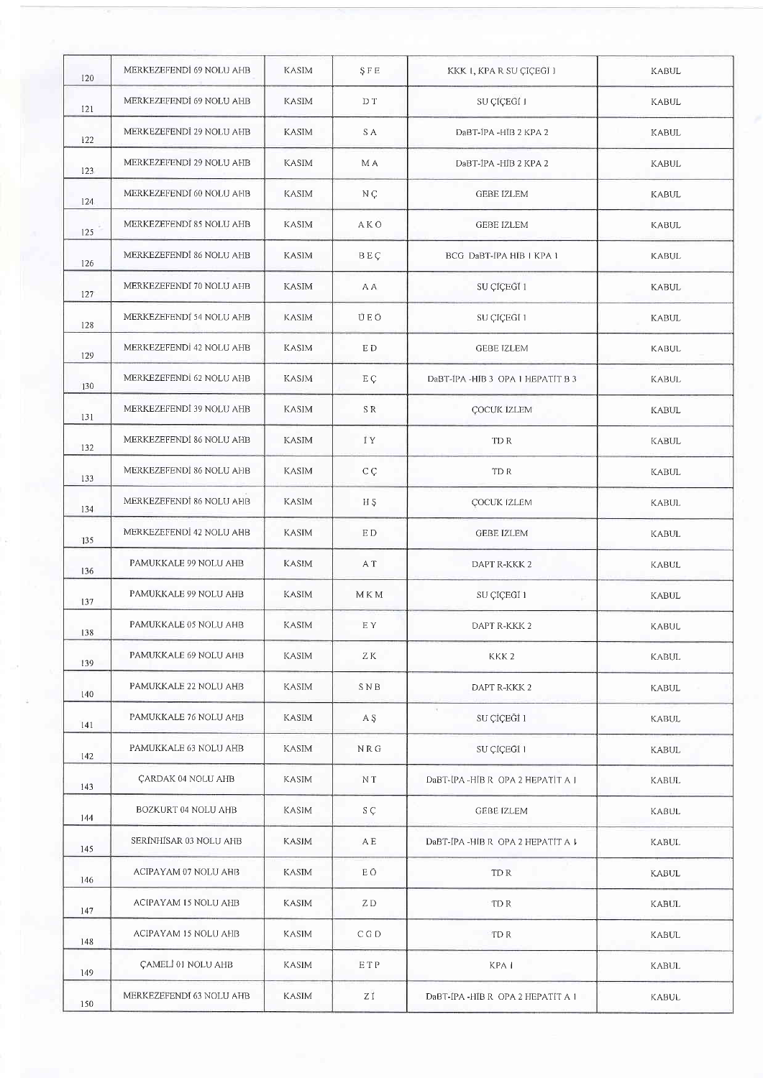| 120 | MERKEZEFENDİ 69 NOLU AHB  | <b>KASIM</b> | <b>SFE</b>              | KKK I, KPA R SU ÇIÇEGI I          | KABUL        |
|-----|---------------------------|--------------|-------------------------|-----------------------------------|--------------|
| 121 | MERKEZEFENDİ 69 NOLU AHB  | KASIM        | D T                     | SU ÇİÇEĞİ I                       | <b>KABUL</b> |
| 122 | MERKEZEFENDI 29 NOLU AHB  | <b>KASIM</b> | S A                     | DaBT-IPA -HIB 2 KPA 2             | <b>KABUL</b> |
| 123 | MERKEZEFENDİ 29 NOLU AHB  | KASIM        | M A                     | DaBT-IPA -HIB 2 KPA 2             | <b>KABUL</b> |
| 124 | MERKEZEFENDI 60 NOLU AHB  | KASIM        | N Ç                     | <b>GEBE IZLEM</b>                 | <b>KABUL</b> |
| 125 | MERKEZEFENDI 85 NOLU AHB  | <b>KASIM</b> | <b>AKO</b>              | <b>GEBE IZLEM</b>                 | <b>KABUL</b> |
| 126 | MERKEZEFENDI 86 NOLU AHB  | KASIM        | <b>BEÇ</b>              | BCG DaBT-IPA HIB I KPA 1          | <b>KABUL</b> |
| 127 | MERKEZEFENDI 70 NOLU AHB  | <b>KASIM</b> | A A                     | SU ÇİÇEGİ 1                       | <b>KABUL</b> |
| 128 | MERKEZEFENDI 54 NOLU AHB  | KASIM        | ÜEÖ                     | SU ÇÎÇEĞÎ 1                       | <b>KABUL</b> |
| 129 | MERKEZEFENDI 42 NOLU AHB  | <b>KASIM</b> | E D                     | <b>GEBE İZLEM</b>                 | KABUL        |
| 130 | MERKEZEFENDİ 62 NOLU AHB  | <b>KASJM</b> | E Ç                     | DaBT-IPA-HIB 3 OPA 1 HEPATIT B 3  | KABUL        |
| 131 | MERKEZEFENDİ 39 NOLU AHB  | <b>KASIM</b> | SR.                     | <b>ÇOCUK IZLEM</b>                | <b>KABUL</b> |
| 132 | MERKEZEFENDİ 86 NOLU AHB  | <b>KASIM</b> | IY.                     | TD R                              | <b>KABUL</b> |
| 133 | MERKEZEFENDI 86 NOLU AHB  | <b>KASIM</b> | C C                     | TD R                              | <b>KABUL</b> |
| 134 | MERKEZEFENDİ 86 NOLU AHB  | <b>KASIM</b> | H S                     | ÇOCUK IZLEM                       | <b>KABUL</b> |
| 135 | MERKEZEFENDİ 42 NOLU AHB  | <b>KASIM</b> | E D                     | <b>GEBE IZLEM</b>                 | <b>KABUL</b> |
| 136 | PAMUKKALE 99 NOLU AHB     | <b>KASIM</b> | A T                     | DAPT R-KKK 2                      | KABUL        |
| 137 | PAMUKKALE 99 NOLU AHB     | <b>KASIM</b> | M K M                   | SU ÇİÇEĞÎ 1                       | <b>KABUL</b> |
| 138 | PAMUKKALE 05 NOLU AHB     | KASIM        | E Y                     | DAPT R-KKK 2                      | <b>KABUL</b> |
| 139 | PAMUKKALE 69 NOLU AHB     | <b>KASIM</b> | ΖK                      | KKK <sub>2</sub>                  | <b>KABUL</b> |
| 140 | PAMUKKALE 22 NOLU AHB     | KASIM        | SNB                     | DAPT R-KKK 2                      | <b>KABUL</b> |
| 141 | PAMUKKALE 76 NOLU AHB     | KASIM        | A S                     | $\mathbb{R}$<br>SU ÇİÇEĞİ 1       | <b>KABUL</b> |
| 142 | PAMUKKALE 63 NOLU AHB     | KASIM        | $N \mathrel{{\rm R}} G$ | SU ÇİÇEĞİ 1                       | <b>KABUL</b> |
| 143 | <b>ÇARDAK 04 NOLU AHB</b> | KASIM        | N T                     | DaBT-IPA -HIB R OPA 2 HEPATIT A J | <b>KABUL</b> |
| 144 | BOZKURT 04 NOLU AHB       | KASIM        | SÇ.                     | GEBE IZLEM                        | KABUL        |
| 145 | SERINHISAR 03 NOLU AHB    | KASIM        | A E                     | DaBT-IPA -HIB R OPA 2 HEPATIT A ↓ | KABUL        |
| 146 | ACIPAYAM 07 NOLU AHB      | <b>KASIM</b> | ΕÖ                      | TD R                              | <b>KABUL</b> |
| 147 | ACIPAYAM 15 NOLU AHB      | <b>KASIM</b> | ZD                      | TD R                              | KABUL        |
| 148 | ACIPAYAM 15 NOLU AHB      | KASIM        | C G D                   | TD R                              | KABUL        |
| 149 | <b>ÇAMELİ 01 NOLU AHB</b> | KASIM        | ETP                     | KPA I                             | KABUL        |
| 150 | MERKEZEFENDI 63 NOLU AHB  | <b>KASIM</b> | Ζİ                      | DaBT-IPA-HIB R OPA 2 HEPATIT A 1  | KABUL        |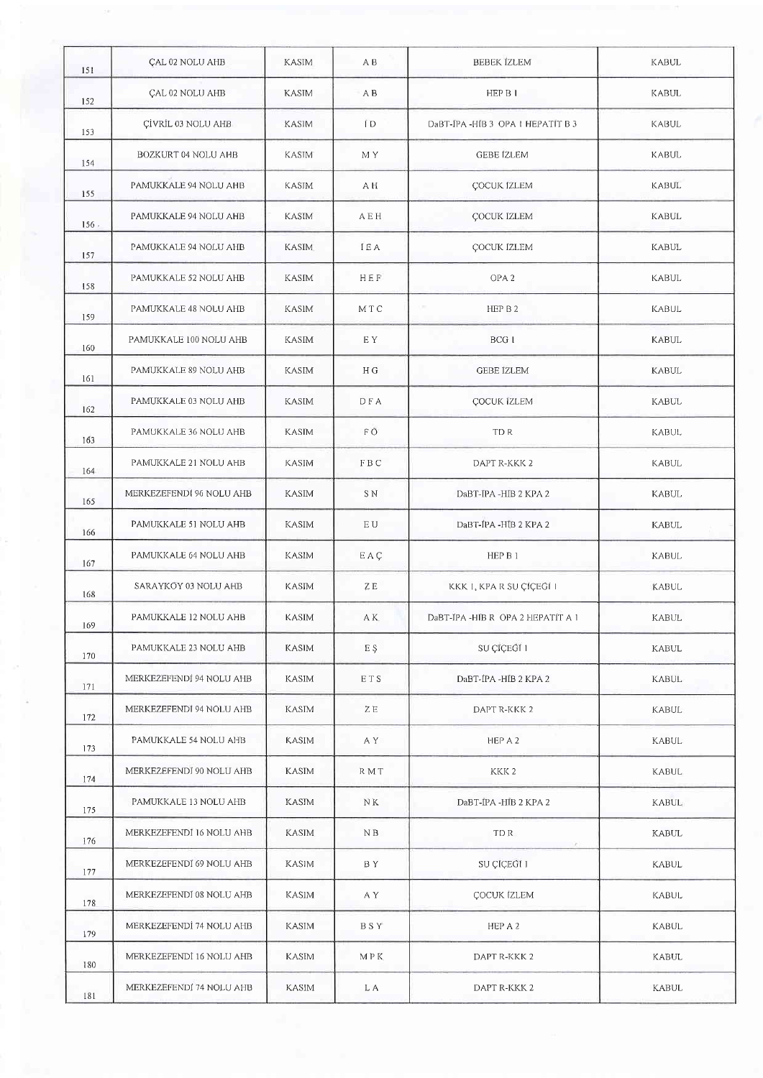| 151  | <b>ÇAL 02 NOLU AHB</b>   | <b>KASIM</b> | A B        | <b>BEBEK IZLEM</b>                | KABUL        |
|------|--------------------------|--------------|------------|-----------------------------------|--------------|
| 152  | <b>ÇAL 02 NOLU AHB</b>   | <b>KASIM</b> | A B        | HEP B I                           | <b>KABUL</b> |
| 153  | ÇİVRİL 03 NOLU AHB       | <b>KASIM</b> | TD.        | DaBT-IPA-HIB 3 OPA I HEPATIT B 3  | KABUL        |
| 154  | BOZKURT 04 NOLU AHB      | <b>KASIM</b> | M Y        | GEBE IZLEM                        | KABUL        |
| 155  | PAMUKKALE 94 NOLU AHB    | <b>KASIM</b> | A H        | ÇOCUK İZLEM                       | <b>KABUL</b> |
| 156. | PAMUKKALE 94 NOLU AHB    | <b>KASIM</b> | AEH        | ÇOCUK İZLEM                       | <b>KABUL</b> |
| 157  | PAMUKKALE 94 NOLU AHB    | <b>KASIM</b> | <b>IEA</b> | ÇOCUK İZLEM                       | <b>KABUL</b> |
| 158  | PAMUKKALE 52 NOLU AHB    | KASIM        | HEF        | OPA <sub>2</sub>                  | KABUL        |
| 159  | PAMUKKALE 48 NOLU AHB    | KASIM        | MT C       | HEP B 2                           | <b>KABUL</b> |
| 160  | PAMUKKALE 100 NOLU AHB   | KASIM        | E Y        | BCG I                             | KABUL        |
| 161  | PAMUKKALE 89 NOLU AHB    | KASIM        | H G        | <b>GEBE IZLEM</b>                 | <b>KABUL</b> |
| 162  | PAMUKKALE 03 NOLU AHB    | KASIM        | DFA        | ÇOCUK IZLEM                       | <b>KABUL</b> |
| 163  | PAMUKKALE 36 NOLU AHB    | <b>KASIM</b> | F Ö        | TD R                              | <b>KABUL</b> |
| 164  | PAMUKKALE 21 NOLU AHB    | KASIM        | FBC        | DAPT R-KKK 2                      | KABUL        |
| 165  | MERKEZEFENDI 96 NOLU AHB | KASIM        | S N        | DaBT-IPA -HIB 2 KPA 2             | KABUL        |
| 166  | PAMUKKALE 51 NOLU AHB    | KASIM        | E U        | DaBT-IPA -HIB 2 KPA 2             | <b>KABUL</b> |
| 167  | PAMUKKALE 64 NOLU AHB    | KASIM        | EAC        | HEP B 1                           | <b>KABUL</b> |
| 168  | SARAYKOY 03 NOLU AHB     | KASIM        | ΖE         | KKK I, KPA R SU ÇİÇEĞİ I          | <b>KABUL</b> |
| 169  | PAMUKKALE 12 NOLU AHB    | KASIM        | A K        | DaBT-IPA -HIB R OPA 2 HEPATIT A 1 | <b>KABUL</b> |
| 170  | PAMUKKALE 23 NOLU AHB    | <b>KASIM</b> | E Ş        | SU ÇİÇEĞİ 1                       | KABUL        |
| 171  | MERKEZEFENDİ 94 NOLU AHB | KASIM        | ETS        | DaBT-IPA -HIB 2 KPA 2             | <b>KABUL</b> |
| 172  | MERKEZEFENDÎ 94 NOLU AHB | KASIM        | ZΕ         | DAPT R-KKK 2                      | KABUL        |
| 173  | PAMUKKALE 54 NOLU AHB    | <b>KASIM</b> | A Y        | HEP A 2                           | <b>KABUL</b> |
| 174  | MERKEZEFENDĪ 90 NOLU AHB | <b>KASIM</b> | R M T      | KKK <sub>2</sub>                  | KABUL        |
| 175  | PAMUKKALE 13 NOLU AHB    | KASIM        | ΝK         | DaBT-IPA -HIB 2 KPA 2             | KABUL        |
| 176  | MERKEZEFENDI 16 NOLU AHB | <b>KASIM</b> | N B        | TDR.<br>œ                         | <b>KABUL</b> |
| 177  | MERKEZEFENDI 69 NOLU AHB | KASIM        | BY.        | SU ÇÎÇEĞÎ 1                       | KABUL        |
| 178  | MERKEZEFENDĪ 08 NOLU AHB | KASIM        | A Y        | <b>ÇOCUK IZLEM</b>                | KABUL        |
| 179  | MERKEZEFENDİ 74 NOLU AHB | <b>KASIM</b> | <b>BSY</b> | HEP A 2                           | KABUL        |
| 180  | MERKEZEFENDİ 16 NOLU AHB | <b>KASIM</b> | MPK        | DAPT R-KKK 2                      | KABUL        |
| 181  | MERKEZEFENDI 74 NOLU AHB | KASIM        | L A        | DAPT R-KKK 2                      | <b>KABUL</b> |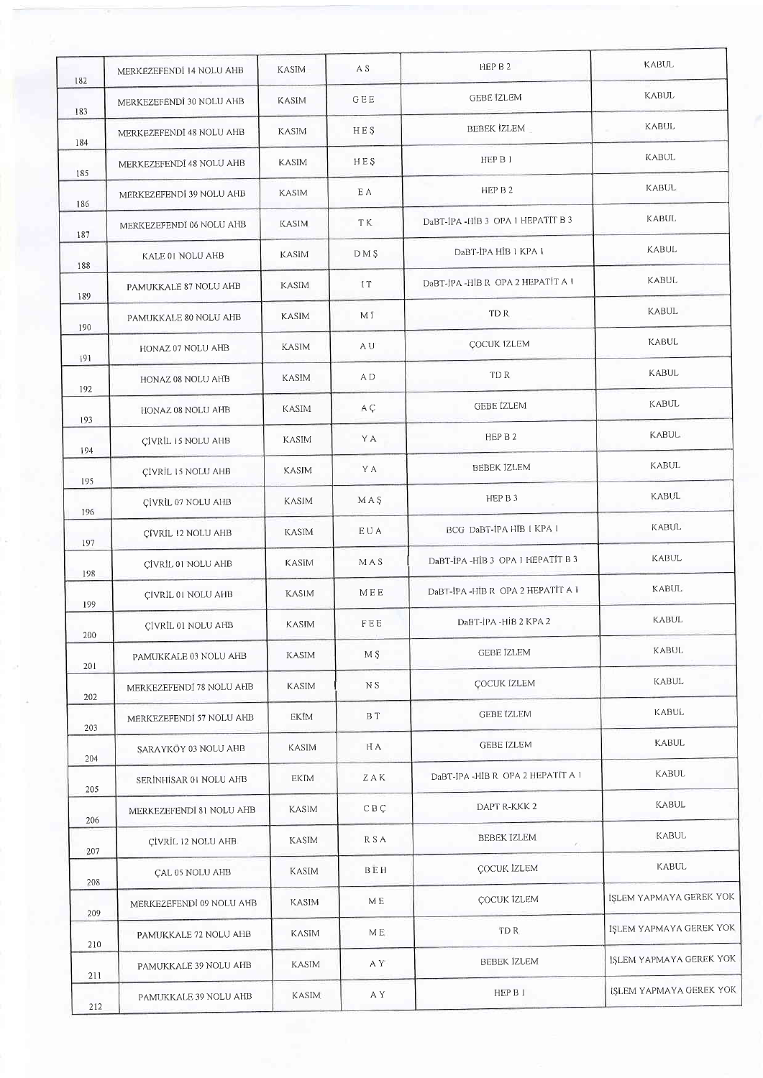| 182        | MERKEZEFENDİ 14 NOLU AHB  | KASIM        | A S                   | HEP B 2                            | <b>KABUL</b>            |
|------------|---------------------------|--------------|-----------------------|------------------------------------|-------------------------|
| 183        | MERKEZEFENDİ 30 NOLU AHB  | <b>KASIM</b> | GEE                   | <b>GEBE IZLEM</b>                  | KABUL                   |
| 184        | MERKEZEFENDİ 48 NOLU AHB  | <b>KASIM</b> | HES                   | BEBEK IZLEM                        | KABUL                   |
| 185        | MERKEZEFENDI 48 NOLU AHB  | KASIM        | HEŞ                   | HEP B J                            | KABUL                   |
| 186        | MERKEZEFENDİ 39 NOLU AHB  | <b>KASIM</b> | ΕA                    | HEP B 2                            | KABUL                   |
| 187        | MERKEZEFENDÌ 06 NOLU AHB  | <b>KASIM</b> | TK.                   | DaBT-IPA-HIB 3 OPA 1 HEPATIT B 3   | KABUL                   |
| 188        | KALE 01 NOLU AHB          | <b>KASIM</b> | DM <sub>S</sub>       | DaBT-IPA HIB 1 KPA 1               | KABUL                   |
| 189        | PAMUKKALE 87 NOLU AHB     | KASIM        | IT                    | DaBT-JPA-HIB R OPA 2 HEPATIT A 1   | KABUL                   |
|            | PAMUKKALE 80 NOLU AHB     | <b>KASIM</b> | МĪ                    | TD R                               | <b>KABUL</b>            |
| 190        | HONAZ 07 NOLU AHB         | <b>KASIM</b> | A U                   | <b>COCUK IZLEM</b>                 | <b>KABUL</b>            |
| 191        | HONAZ 08 NOLU AHB         | <b>KASIM</b> | A D                   | TD R                               | <b>KABUL</b>            |
| 192        | HONAZ 08 NOLU AHB         | KASIM        | A Ç                   | <b>GEBE IZLEM</b>                  | <b>KABUL</b>            |
| 193        | CIVRIL 15 NOLU AHB        | <b>KASIM</b> | Y A                   | HEP B 2                            | <b>KABUL</b>            |
| 194        | CÍVRÍL 15 NOLU AHB        | KASIM        | Y A                   | <b>BEBEK İZLEM</b>                 | KABUL                   |
| 195        | CİVRİL 07 NOLU AHB        | KASIM        | MAŞ                   | HEP B 3                            | <b>KABUL</b>            |
| 196        | CÍVRIL 12 NOLU AHB        | <b>KASIM</b> | EUA                   | BCG Dabt-ipa hib   KPA             | KABUL                   |
| 197        | <b>CÍVRÍL 01 NOLU AHB</b> | KASIM        | M A S                 | DaBT-IPA-HIB 3 OPA 1 HEPATIT B 3   | KABUL                   |
| 198        | CIVRIL 01 NOLU AHB        | KASIM        | MEE                   | DaBT-İPA - HİB R OPA 2 HEPATİT A 1 | <b>KABUL</b>            |
| 199        | <b>ÇİVRİL 01 NOLU AHB</b> | KASIM        | ${\rm F} \to {\rm E}$ | DaBT-IPA -HIB 2 KPA 2              | <b>KABUL</b>            |
| 200<br>201 | PAMUKKALE 03 NOLU AHB     | KASIM        | M \$                  | <b>GEBE IZLEM</b>                  | KABUL                   |
|            | MERKEZEFENDÍ 78 NOLU AHB  | <b>KASIM</b> | N S                   | <b>COCUK IZLEM</b>                 | KABUL                   |
| 202<br>203 | MERKEZEFENDİ 57 NOLU AHB  | EKIM         | B T                   | <b>GEBE İZLEM</b>                  | KABUL                   |
|            | SARAYKÖY 03 NOLU AHB      | KASIM        | H A                   | <b>GEBE IZLEM</b>                  | KABUL                   |
| 204<br>205 | SERİNHİSAR 01 NOLU AHB    | EKIM         | ZAK                   | DaBT-IPA -HIB R OPA 2 HEPATIT A I  | KABUL                   |
| 206        | MERKEZEFENDI 81 NOLU AHB  | KASIM        | C B C                 | DAPT R-KKK 2                       | KABUL                   |
| 207        | CİVRİL 12 NOLU AHB        | <b>KASIM</b> | R S A                 | <b>BEBEK IZLEM</b><br>X.           | <b>KABUL</b>            |
| 208        | <b>CAL 05 NOLU AHB</b>    | KASIM        | BEH                   | <b>COCUK İZLEM</b>                 | KABUL                   |
| 209        | MERKEZEFENDI 09 NOLU AHB  | <b>KASIM</b> | MЕ                    | COCUK İZLEM                        | İŞLEM YAPMAYA GEREK YOK |
|            | PAMUKKALE 72 NOLU AHB     | KASIM        | M E                   | TD R                               | ISLEM YAPMAYA GEREK YOK |
| 210        | PAMUKKALE 39 NOLU AHB     | KASIM        | A Y                   | <b>BEBEK IZLEM</b>                 | İŞLEM YAPMAYA GEREK YOK |
| 211        | PAMUKKALE 39 NOLU AHB     | <b>KASIM</b> | A Y                   | HEP B 1                            | İŞLEM YAPMAYA GEREK YOK |
| 212        |                           |              |                       |                                    |                         |

þ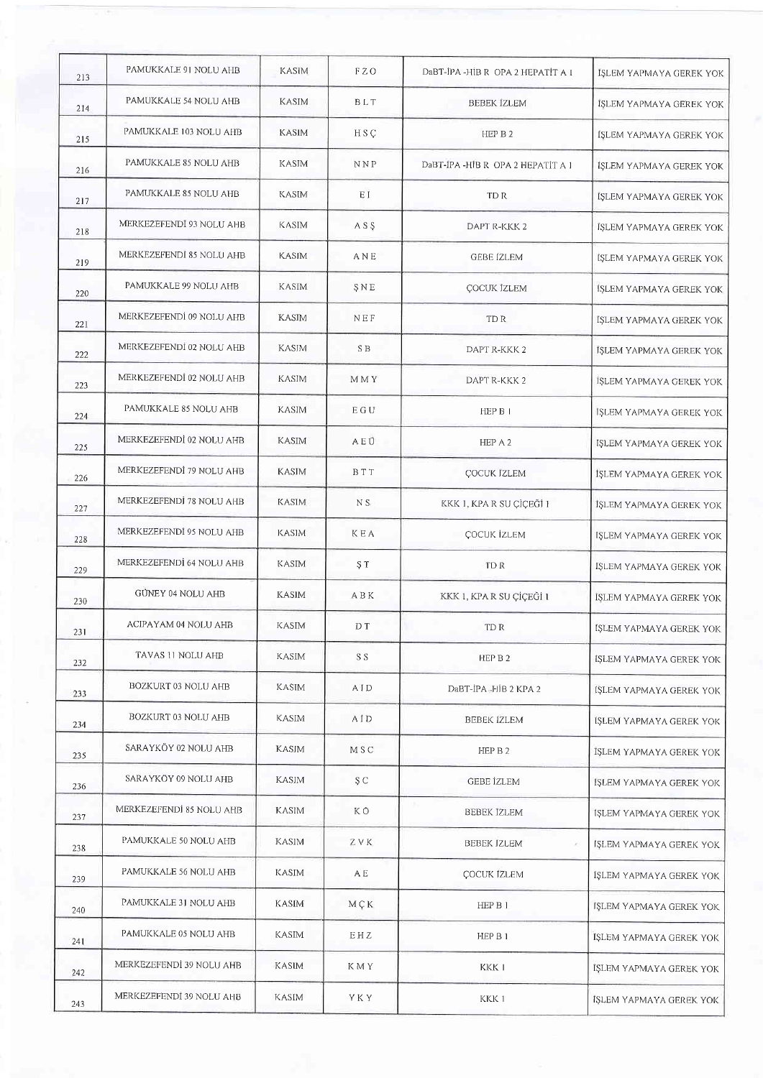| 213 | PAMUKKALE 91 NOLU AHB    | <b>KASIM</b> | F Z O         | DaBT-IPA -HIB R OPA 2 HEPATIT A 1            | IŞLEM YAPMAYA GEREK YOK        |
|-----|--------------------------|--------------|---------------|----------------------------------------------|--------------------------------|
| 214 | PAMUKKALE 54 NOLU AHB    | <b>KASIM</b> | BLT           | <b>BEBEK IZLEM</b>                           | ISLEM YAPMAYA GEREK YOK        |
| 215 | PAMUKKALE 103 NOLU AHB   | <b>KASIM</b> | H S C         | HEP B 2                                      | ISLEM YAPMAYA GEREK YOK        |
| 216 | PAMUKKALE 85 NOLU AHB    | <b>KASIM</b> | NNP           | DaBT-IPA-HIB R OPA 2 HEPATIT A 1             | IŞLEM YAPMAYA GEREK YOK        |
| 217 | PAMUKKALE 85 NOLU AHB    | <b>KASIM</b> | ΕĪ            | TD R                                         | IŞLEM YAPMAYA GEREK YOK        |
| 218 | MERKEZEFENDI 93 NOLU AHB | <b>KASIM</b> | ASS           | DAPT R-KKK 2                                 | ISLEM YAPMAYA GEREK YOK        |
| 219 | MERKEZEFENDÌ 85 NOLU AHB | <b>KASIM</b> | ANE           | GEBE IZLEM                                   | ISLEM YAPMAYA GEREK YOK        |
| 220 | PAMUKKALE 99 NOLU AHB    | <b>KASIM</b> | SNE           | <b>COCUK IZLEM</b>                           | <b>İSLEM YAPMAYA GEREK YOK</b> |
| 221 | MERKEZEFENDİ 09 NOLU AHB | <b>KASIM</b> | NEF           | TD R                                         | IŞLEM YAPMAYA GEREK YOK        |
| 222 | MERKEZEFENDİ 02 NOLU AHB | <b>KASIM</b> | S B           | DAPT R-KKK 2                                 | IŞLEM YAPMAYA GEREK YOK        |
| 223 | MERKEZEFENDİ 02 NOLU AHB | KASIM        | M M Y         | DAPT R-KKK 2                                 | ISLEM YAPMAYA GEREK YOK        |
| 224 | PAMUKKALE 85 NOLU AHB    | KASIM        | E G U         | HEP B I                                      | ISLEM YAPMAYA GEREK YOK        |
| 225 | MERKEZEFENDİ 02 NOLU AHB | <b>KASIM</b> | AEÜ           | HEP A 2                                      | IŞLEM YAPMAYA GEREK YOK        |
| 226 | MERKEZEFENDİ 79 NOLU AHB | <b>KASIM</b> | <b>BTT</b>    | <b>COCUK IZLEM</b>                           | IŞLEM YAPMAYA GEREK YOK        |
| 227 | MERKEZEFENDİ 78 NOLU AHB | KASIM        | NS.           | KKK 1, KPA R SU ÇİÇEĞİ I                     | IŞLEM YAPMAYA GEREK YOK        |
| 228 | MERKEZEFENDİ 95 NOLU AHB | <b>KASIM</b> | <b>KEA</b>    | <b>ÇOCUK İZLEM</b>                           | IŞLEM YAPMAYA GEREK YOK        |
| 229 | MERKEZEFENDI 64 NOLU AHB | <b>KASIM</b> | ŞT.           | TD R                                         | IŞLEM YAPMAYA GEREK YOK        |
| 230 | GÜNEY 04 NOLU AHB        | <b>KASIM</b> | ABK           | KKK 1, KPA R SU ÇİÇEĞİ 1                     | IŞLEM YAPMAYA GEREK YOK        |
| 231 | ACIPAYAM 04 NOLU AHB     | KASIM        | D T           | TD R                                         | IŞLEM YAPMAYA GEREK YOK        |
| 232 | TAVAS 11 NOLU AHB        | KASIM        | S S           | HEP B 2                                      | IŞLEM YAPMAYA GEREK YOK        |
| 233 | BOZKURT 03 NOLU AHB      | KASIM        | AID           | DaBT-IPA-HIB 2 KPA 2                         | ÍSLEM YAPMAYA GEREK YOK        |
| 234 | BOZKURT 03 NOLU AHB      | <b>KASIM</b> | AID           | BEBEK İZLEM                                  | islem yapmaya gerek yok        |
| 235 | SARAYKÖY 02 NOLU AHB     | <b>KASIM</b> | M S C         | HEP B 2                                      | ISLEM YAPMAYA GEREK YOK        |
| 236 | SARAYKÖY 09 NOLU AHB     | <b>KASIM</b> | S C           | <b>GEBE</b> IZLEM                            | ISLEM YAPMAYA GEREK YOK        |
| 237 | MERKEZEFENDI 85 NOLU AHB | <b>KASIM</b> | ΚÖ            | BEBEK IZLEM                                  | İŞLEM YAPMAYA GEREK YOK        |
| 238 | PAMUKKALE 50 NOLU AHB    | KASIM        | ZVK           | <b>BEBEK IZLEM</b><br>$\mathcal{S}^{\prime}$ | IŞLEM YAPMAYA GEREK YOK        |
| 239 | PAMUKKALE 56 NOLU AHB    | KASIM        | A E           | <b>ÇOCUK İZLEM</b>                           | IŞLEM YAPMAYA GEREK YOK        |
| 240 | PAMUKKALE 31 NOLU AHB    | KASIM        | $M \subset K$ | HEP B 1                                      | ISLEM YAPMAYA GEREK YOK        |
| 241 | PAMUKKALE 05 NOLU AHB    | KASIM        | EHZ           | HEP B 1                                      | IŞLEM YAPMAYA GEREK YOK        |
| 242 | MERKEZEFENDÌ 39 NOLU AHB | <b>KASIM</b> | K M Y         | KKK I                                        | IŞLEM YAPMAYA GEREK YOK        |
| 243 | MERKEZEFENDÎ 39 NOLU AHB | KASIM        | YKY           | KKK 1                                        | IŞLEM YAPMAYA GEREK YOK        |
|     |                          |              |               |                                              |                                |

<u> Tanzania (h. 1888).</u>